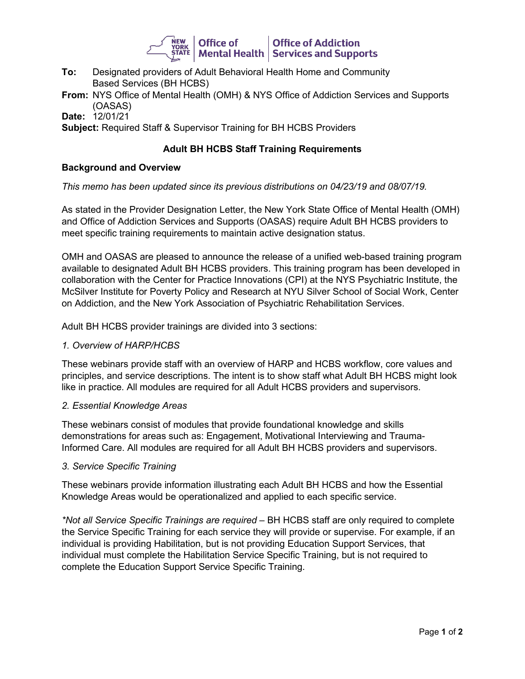

- **To:** Designated providers of Adult Behavioral Health Home and Community Based Services (BH HCBS)
- **From:** NYS Office of Mental Health (OMH) & NYS Office of Addiction Services and Supports (OASAS)

**Date:** 12/01/21

**Subject:** Required Staff & Supervisor Training for BH HCBS Providers

# **Adult BH HCBS Staff Training Requirements**

### **Background and Overview**

### *This memo has been updated since its previous distributions on 04/23/19 and 08/07/19.*

As stated in the Provider Designation Letter, the New York State Office of Mental Health (OMH) and Office of Addiction Services and Supports (OASAS) require Adult BH HCBS providers to meet specific training requirements to maintain active designation status.

OMH and OASAS are pleased to announce the release of a unified web-based training program available to designated Adult BH HCBS providers. This training program has been developed in collaboration with the Center for Practice Innovations (CPI) at the NYS Psychiatric Institute, the McSilver Institute for Poverty Policy and Research at NYU Silver School of Social Work, Center on Addiction, and the New York Association of Psychiatric Rehabilitation Services.

Adult BH HCBS provider trainings are divided into 3 sections:

#### *1. Overview of HARP/HCBS*

These webinars provide staff with an overview of HARP and HCBS workflow, core values and principles, and service descriptions. The intent is to show staff what Adult BH HCBS might look like in practice. All modules are required for all Adult HCBS providers and supervisors.

#### *2. Essential Knowledge Areas*

These webinars consist of modules that provide foundational knowledge and skills demonstrations for areas such as: Engagement, Motivational Interviewing and Trauma-Informed Care. All modules are required for all Adult BH HCBS providers and supervisors.

#### *3. Service Specific Training*

These webinars provide information illustrating each Adult BH HCBS and how the Essential Knowledge Areas would be operationalized and applied to each specific service.

*\*Not all Service Specific Trainings are required –* BH HCBS staff are only required to complete the Service Specific Training for each service they will provide or supervise. For example, if an individual is providing Habilitation, but is not providing Education Support Services, that individual must complete the Habilitation Service Specific Training, but is not required to complete the Education Support Service Specific Training.